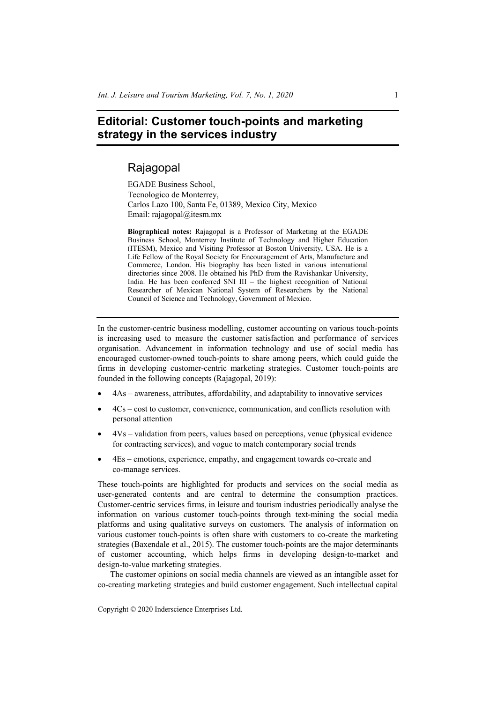## **Editorial: Customer touch-points and marketing strategy in the services industry**

## Rajagopal

EGADE Business School, Tecnologico de Monterrey, Carlos Lazo 100, Santa Fe, 01389, Mexico City, Mexico Email: rajagopal@itesm.mx

**Biographical notes:** Rajagopal is a Professor of Marketing at the EGADE Business School, Monterrey Institute of Technology and Higher Education (ITESM), Mexico and Visiting Professor at Boston University, USA. He is a Life Fellow of the Royal Society for Encouragement of Arts, Manufacture and Commerce, London. His biography has been listed in various international directories since 2008. He obtained his PhD from the Ravishankar University, India. He has been conferred SNI III – the highest recognition of National Researcher of Mexican National System of Researchers by the National Council of Science and Technology, Government of Mexico.

In the customer-centric business modelling, customer accounting on various touch-points is increasing used to measure the customer satisfaction and performance of services organisation. Advancement in information technology and use of social media has encouraged customer-owned touch-points to share among peers, which could guide the firms in developing customer-centric marketing strategies. Customer touch-points are founded in the following concepts (Rajagopal, 2019):

- 4As awareness, attributes, affordability, and adaptability to innovative services
- 4Cs cost to customer, convenience, communication, and conflicts resolution with personal attention
- 4Vs validation from peers, values based on perceptions, venue (physical evidence for contracting services), and vogue to match contemporary social trends
- 4Es emotions, experience, empathy, and engagement towards co-create and co-manage services.

These touch-points are highlighted for products and services on the social media as user-generated contents and are central to determine the consumption practices. Customer-centric services firms, in leisure and tourism industries periodically analyse the information on various customer touch-points through text-mining the social media platforms and using qualitative surveys on customers. The analysis of information on various customer touch-points is often share with customers to co-create the marketing strategies (Baxendale et al., 2015). The customer touch-points are the major determinants of customer accounting, which helps firms in developing design-to-market and design-to-value marketing strategies.

The customer opinions on social media channels are viewed as an intangible asset for co-creating marketing strategies and build customer engagement. Such intellectual capital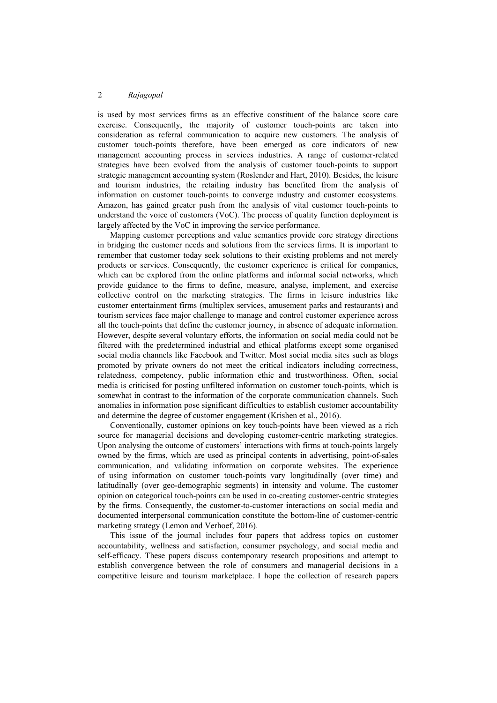is used by most services firms as an effective constituent of the balance score care exercise. Consequently, the majority of customer touch-points are taken into consideration as referral communication to acquire new customers. The analysis of customer touch-points therefore, have been emerged as core indicators of new management accounting process in services industries. A range of customer-related strategies have been evolved from the analysis of customer touch-points to support strategic management accounting system (Roslender and Hart, 2010). Besides, the leisure and tourism industries, the retailing industry has benefited from the analysis of information on customer touch-points to converge industry and customer ecosystems. Amazon, has gained greater push from the analysis of vital customer touch-points to understand the voice of customers (VoC). The process of quality function deployment is largely affected by the VoC in improving the service performance.

Mapping customer perceptions and value semantics provide core strategy directions in bridging the customer needs and solutions from the services firms. It is important to remember that customer today seek solutions to their existing problems and not merely products or services. Consequently, the customer experience is critical for companies, which can be explored from the online platforms and informal social networks, which provide guidance to the firms to define, measure, analyse, implement, and exercise collective control on the marketing strategies. The firms in leisure industries like customer entertainment firms (multiplex services, amusement parks and restaurants) and tourism services face major challenge to manage and control customer experience across all the touch-points that define the customer journey, in absence of adequate information. However, despite several voluntary efforts, the information on social media could not be filtered with the predetermined industrial and ethical platforms except some organised social media channels like Facebook and Twitter. Most social media sites such as blogs promoted by private owners do not meet the critical indicators including correctness, relatedness, competency, public information ethic and trustworthiness. Often, social media is criticised for posting unfiltered information on customer touch-points, which is somewhat in contrast to the information of the corporate communication channels. Such anomalies in information pose significant difficulties to establish customer accountability and determine the degree of customer engagement (Krishen et al., 2016).

Conventionally, customer opinions on key touch-points have been viewed as a rich source for managerial decisions and developing customer-centric marketing strategies. Upon analysing the outcome of customers' interactions with firms at touch-points largely owned by the firms, which are used as principal contents in advertising, point-of-sales communication, and validating information on corporate websites. The experience of using information on customer touch-points vary longitudinally (over time) and latitudinally (over geo-demographic segments) in intensity and volume. The customer opinion on categorical touch-points can be used in co-creating customer-centric strategies by the firms. Consequently, the customer-to-customer interactions on social media and documented interpersonal communication constitute the bottom-line of customer-centric marketing strategy (Lemon and Verhoef, 2016).

This issue of the journal includes four papers that address topics on customer accountability, wellness and satisfaction, consumer psychology, and social media and self-efficacy. These papers discuss contemporary research propositions and attempt to establish convergence between the role of consumers and managerial decisions in a competitive leisure and tourism marketplace. I hope the collection of research papers